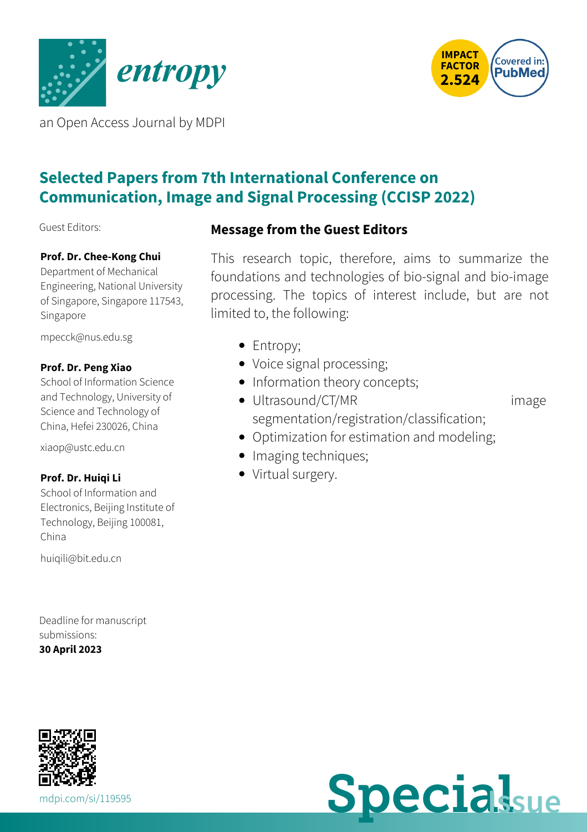



an Open Access Journal by MDPI

# **Selected Papers from 7th International Conference on Communication, Image and Signal Processing (CCISP 2022)**

Guest Editors:

#### **Prof. Dr. Chee-Kong Chui**

Department of Mechanical Engineering, National University of Singapore, Singapore 117543, Singapore

[mpecck@nus.edu.sg](mailto:mpecck@nus.edu.sg)

#### **Prof. Dr. Peng Xiao**

School of Information Science and Technology, University of Science and Technology of China, Hefei 230026, China

[xiaop@ustc.edu.cn](mailto:xiaop@ustc.edu.cn)

#### **Prof. Dr. Huiqi Li**

School of Information and Electronics, Beijing Institute of Technology, Beijing 100081, China

[huiqili@bit.edu.cn](mailto:huiqili@bit.edu.cn)

Deadline for manuscript submissions: **30 April 2023**

### **Message from the Guest Editors**

This research topic, therefore, aims to summarize the foundations and technologies of bio-signal and bio-image processing. The topics of interest include, but are not limited to, the following:

- Entropy;
- Voice signal processing;
- Information theory concepts;
- Ultrasound/CT/MR image segmentation/registration/classification;
- Optimization for estimation and modeling;
- Imaging techniques;
- Virtual surgery.